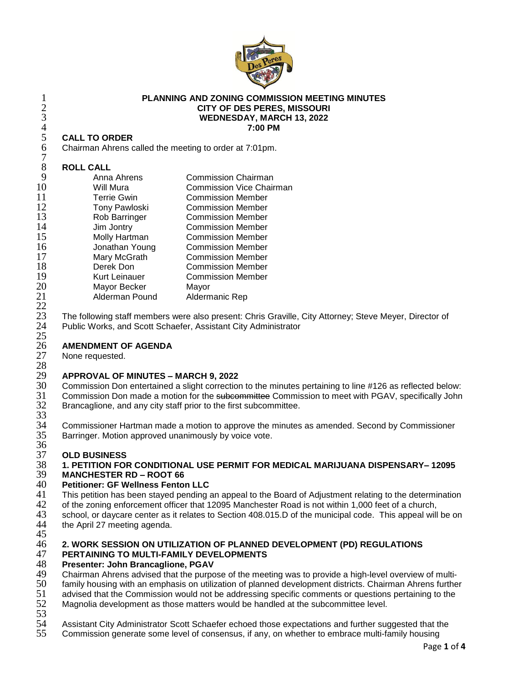

### 1 **PLANNING AND ZONING COMMISSION MEETING MINUTES**<br>2 **CITY OF DES PERES, MISSOURI**<br>WEDNESDAY, MARCH 13, 2022 2 **CITY OF DES PERES, MISSOURI** 3 **WEDNESDAY, MARCH 13, 2022** 4 **7:00 PM**

#### 5 **CALL TO ORDER**

| 6<br>Chairman Ahrens called the meeting to order at 7:01pm. |                                 |
|-------------------------------------------------------------|---------------------------------|
| <b>ROLL CALL</b>                                            |                                 |
| Anna Ahrens                                                 | <b>Commission Chairman</b>      |
| Will Mura                                                   | <b>Commission Vice Chairman</b> |
| <b>Terrie Gwin</b>                                          | <b>Commission Member</b>        |
|                                                             | <b>Commission Member</b>        |
| Rob Barringer                                               | <b>Commission Member</b>        |
| Jim Jontry                                                  | <b>Commission Member</b>        |
| Molly Hartman                                               | <b>Commission Member</b>        |
| Jonathan Young                                              | <b>Commission Member</b>        |
| Mary McGrath                                                | <b>Commission Member</b>        |
| Derek Don                                                   | <b>Commission Member</b>        |
| <b>Kurt Leinauer</b>                                        | <b>Commission Member</b>        |
| Mayor Becker                                                | Mayor                           |
| Alderman Pound                                              | Aldermanic Rep                  |
|                                                             | Tony Pawloski                   |

23 The following staff members were also present: Chris Graville, City Attorney; Steve Meyer, Director of Public Works, and Scott Schaefer, Assistant City Administrator

# 26 **AMENDMENT OF AGENDA**

None requested.

 $\frac{22}{23}$ 

 $\frac{25}{26}$ 

### 28<br>29 29 **APPROVAL OF MINUTES – MARCH 9, 2022**

30 Commission Don entertained a slight correction to the minutes pertaining to line #126 as reflected below:<br>31 Commission Don made a motion for the subcommittee Commission to meet with PGAV, specifically John Commission Don made a motion for the subcommittee Commission to meet with PGAV, specifically John Brancaglione, and any city staff prior to the first subcommittee.

32<br>33<br>34 34 Commissioner Hartman made a motion to approve the minutes as amended. Second by Commissioner<br>35 Barringer. Motion approved unanimously by voice vote. Barringer. Motion approved unanimously by voice vote.

# 36<br>37

### 37 **OLD BUSINESS** 38 **1. PETITION FOR CONDITIONAL USE PERMIT FOR MEDICAL MARIJUANA DISPENSARY– 12095**

# 39 **MANCHESTER RD – ROOT 66**

- 40 **Petitioner: GF Wellness Fenton LLC** 41 This petition has been stayed pending an appeal to the Board of Adjustment relating to the determination<br>42 of the zoning enforcement officer that 12095 Manchester Road is not within 1.000 feet of a church.
- 42 of the zoning enforcement officer that 12095 Manchester Road is not within 1,000 feet of a church,<br>43 school, or davcare center as it relates to Section 408,015.D of the municipal code. This appeal will
- 43 school, or daycare center as it relates to Section 408.015.D of the municipal code. This appeal will be on 44 the April 27 meeting agenda.
- the April 27 meeting agenda. 45

# 46 **2. WORK SESSION ON UTILIZATION OF PLANNED DEVELOPMENT (PD) REGULATIONS**

# 47 **PERTAINING TO MULTI-FAMILY DEVELOPMENTS**

# 48 **Presenter: John Brancaglione, PGAV**

- 49 Chairman Ahrens advised that the purpose of the meeting was to provide a high-level overview of multi-<br>50 family housing with an emphasis on utilization of planned development districts. Chairman Ahrens furthe
- 50 family housing with an emphasis on utilization of planned development districts. Chairman Ahrens further<br>51 advised that the Commission would not be addressing specific comments or questions pertaining to the
- 51 advised that the Commission would not be addressing specific comments or questions pertaining to the 52 Magnolia development as those matters would be handled at the subcommittee level.
- Magnolia development as those matters would be handled at the subcommittee level.
- 53<br>54
- Assistant City Administrator Scott Schaefer echoed those expectations and further suggested that the
- 55 Commission generate some level of consensus, if any, on whether to embrace multi-family housing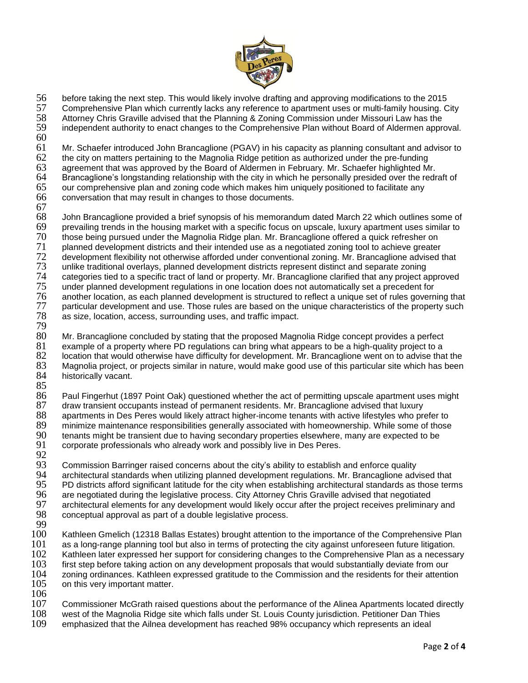

56 before taking the next step. This would likely involve drafting and approving modifications to the 2015

57 Comprehensive Plan which currently lacks any reference to apartment uses or multi-family housing. City 58<br>58 Attorney Chris Graville advised that the Planning & Zoning Commission under Missouri Law has the

58 Attorney Chris Graville advised that the Planning & Zoning Commission under Missouri Law has the independent authority to enact changes to the Comprehensive Plan without Board of Aldermen approval.

 $60$ <br> $61$ 

61 Mr. Schaefer introduced John Brancaglione (PGAV) in his capacity as planning consultant and advisor to 62 the city on matters pertaining to the Magnolia Ridge petition as authorized under the pre-funding

62 the city on matters pertaining to the Magnolia Ridge petition as authorized under the pre-funding<br>63 agreement that was approved by the Board of Aldermen in February. Mr. Schaefer highlighted M

- 63 agreement that was approved by the Board of Aldermen in February. Mr. Schaefer highlighted Mr.
- 64 Brancaglione's longstanding relationship with the city in which he personally presided over the redraft of <br>65 our comprehensive plan and zoning code which makes him uniquely positioned to facilitate any our comprehensive plan and zoning code which makes him uniquely positioned to facilitate any
- 66 conversation that may result in changes to those documents.
- 67

68 John Brancaglione provided a brief synopsis of his memorandum dated March 22 which outlines some of 69 prevailing trends in the housing market with a specific focus on upscale, luxury apartment uses similar to 70 those being pursued under the Magnolia Ridge plan. Mr. Brancaglione offered a quick refresher on<br>71 planned development districts and their intended use as a negotiated zoning tool to achieve greater 71 planned development districts and their intended use as a negotiated zoning tool to achieve greater<br>72 development flexibility not otherwise afforded under conventional zoning. Mr. Brancaglione advised t 72 development flexibility not otherwise afforded under conventional zoning. Mr. Brancaglione advised that 73 unlike traditional overlays, planned development districts represent distinct and separate zoning 73 unlike traditional overlays, planned development districts represent distinct and separate zoning 74 categories tied to a specific tract of land or property. Mr. Brancaglione clarified that any project approved 75 under planned development regulations in one location does not automatically set a precedent for 76 another location, as each planned development is structured to reflect a unique set of rules governing that<br>77 particular development and use. Those rules are based on the unique characteristics of the property such 77 particular development and use. Those rules are based on the unique characteristics of the property such 78 as size. Iocation, access, surrounding uses, and traffic impact. as size, location, access, surrounding uses, and traffic impact.

79 80 Mr. Brancaglione concluded by stating that the proposed Magnolia Ridge concept provides a perfect 81 example of a property where PD regulations can bring what appears to be a high-quality project to a 82 location that would otherwise have difficulty for development. Mr. Brancaglione went on to advise that the<br>83 Magnolia project, or projects similar in nature, would make good use of this particular site which has been 83 Magnolia project, or projects similar in nature, would make good use of this particular site which has been historically vacant.

85<br>86

86 Paul Fingerhut (1897 Point Oak) questioned whether the act of permitting upscale apartment uses might 87 draw transient occupants instead of permanent residents. Mr. Brancaglione advised that luxury<br>88 apartments in Des Peres would likely attract higher-income tenants with active lifestyles who pre 88 apartments in Des Peres would likely attract higher-income tenants with active lifestyles who prefer to 89 minimize maintenance responsibilities generally associated with homeownership. While some of those 89 minimize maintenance responsibilities generally associated with homeownership. While some of those <br>90 tenants might be transient due to having secondary properties elsewhere, many are expected to be 90 tenants might be transient due to having secondary properties elsewhere, many are expected to be<br>91 corporate professionals who already work and possibly live in Des Peres. corporate professionals who already work and possibly live in Des Peres.

92<br>93 93 Commission Barringer raised concerns about the city's ability to establish and enforce quality<br>94 Farchitectural standards when utilizing planned development regulations. Mr. Brancaglione adv 94 architectural standards when utilizing planned development regulations. Mr. Brancaglione advised that<br>95 PD districts afford significant latitude for the city when establishing architectural standards as those tern 95 PD districts afford significant latitude for the city when establishing architectural standards as those terms<br>96 are negotiated during the legislative process. City Attorney Chris Graville advised that negotiated 96 are negotiated during the legislative process. City Attorney Chris Graville advised that negotiated<br>97 architectural elements for any development would likely occur after the project receives preliminai 97 architectural elements for any development would likely occur after the project receives preliminary and 98 conceptual approval as part of a double legislative process. 98 conceptual approval as part of a double legislative process.

 $\frac{99}{100}$ Kathleen Gmelich (12318 Ballas Estates) brought attention to the importance of the Comprehensive Plan 101 as a long-range planning tool but also in terms of protecting the city against unforeseen future litigation. 102 Kathleen later expressed her support for considering changes to the Comprehensive Plan as a necessary<br>103 first step before taking action on any development proposals that would substantially deviate from our 103 first step before taking action on any development proposals that would substantially deviate from our 104 zoning ordinances. Kathleen expressed gratitude to the Commission and the residents for their attention<br>105 on this very important matter. on this very important matter.

 $\frac{106}{107}$ 

107 Commissioner McGrath raised questions about the performance of the Alinea Apartments located directly 108<br>108 vest of the Magnolia Ridge site which falls under St. Louis County iurisdiction. Petitioner Dan Thies

- 108 west of the Magnolia Ridge site which falls under St. Louis County jurisdiction. Petitioner Dan Thies<br>109 emphasized that the Ailnea development has reached 98% occupancy which represents an ideal
- emphasized that the Ailnea development has reached 98% occupancy which represents an ideal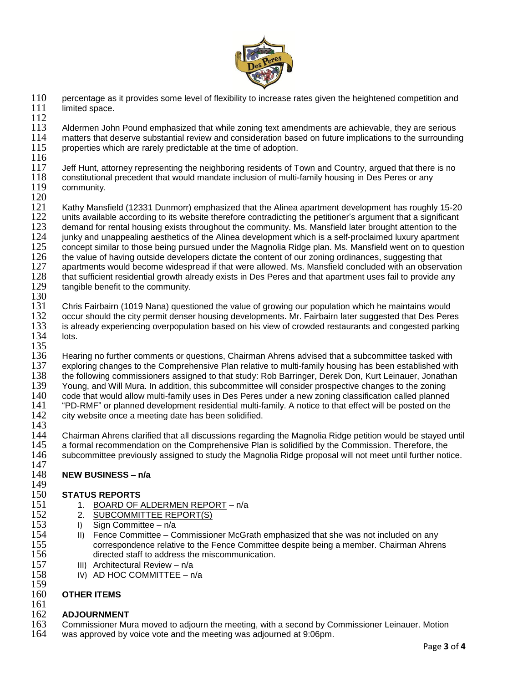

- 110 percentage as it provides some level of flexibility to increase rates given the heightened competition and 111 limited space.
- $\frac{112}{113}$ 113 Aldermen John Pound emphasized that while zoning text amendments are achievable, they are serious<br>114 matters that deserve substantial review and consideration based on future implications to the surroundin 114 matters that deserve substantial review and consideration based on future implications to the surrounding <br>115 properties which are rarely predictable at the time of adoption. properties which are rarely predictable at the time of adoption.
- $\frac{116}{117}$
- 117 Jeff Hunt, attorney representing the neighboring residents of Town and Country, argued that there is no<br>118 constitutional precedent that would mandate inclusion of multi-family housing in Des Peres or any 118 constitutional precedent that would mandate inclusion of multi-family housing in Des Peres or any<br>119 community. community.
- 

 $\frac{120}{121}$ 121 Kathy Mansfield (12331 Dunmorr) emphasized that the Alinea apartment development has roughly 15-20<br>122 units available according to its website therefore contradicting the petitioner's argument that a significant 122 units available according to its website therefore contradicting the petitioner's argument that a significant<br>123 demand for rental housing exists throughout the community. Ms. Mansfield later brought attention to the 123 demand for rental housing exists throughout the community. Ms. Mansfield later brought attention to the 124 iunky and unappealing aesthetics of the Alinea development which is a self-proclaimed luxury apartment 124 junky and unappealing aesthetics of the Alinea development which is a self-proclaimed luxury apartment<br>125 concept similar to those being pursued under the Magnolia Ridge plan. Ms. Mansfield went on to questior 125 concept similar to those being pursued under the Magnolia Ridge plan. Ms. Mansfield went on to question 126 the value of having outside developers dictate the content of our zoning ordinances, suggesting that 126 the value of having outside developers dictate the content of our zoning ordinances, suggesting that 127 apartments would become widespread if that were allowed. Ms. Mansfield concluded with an observi 127 apartments would become widespread if that were allowed. Ms. Mansfield concluded with an observation<br>128 that sufficient residential growth already exists in Des Peres and that apartment uses fail to provide any 128 that sufficient residential growth already exists in Des Peres and that apartment uses fail to provide any<br>129 tangible benefit to the community. tangible benefit to the community.

130<br>131

131 Chris Fairbairn (1019 Nana) questioned the value of growing our population which he maintains would 132 occur should the city permit denser housing developments. Mr. Fairbairn later suggested that Des Peres<br>133 is already experiencing overpopulation based on his view of crowded restaurants and congested parking is already experiencing overpopulation based on his view of crowded restaurants and congested parking 134 lots.

- 135<br>136 136 Hearing no further comments or questions, Chairman Ahrens advised that a subcommittee tasked with<br>137 exploring changes to the Comprehensive Plan relative to multi-family housing has been established with exploring changes to the Comprehensive Plan relative to multi-family housing has been established with 138 the following commissioners assigned to that study: Rob Barringer, Derek Don, Kurt Leinauer, Jonathan<br>139 Young, and Will Mura, In addition, this subcommittee will consider prospective changes to the zoning 139 Young, and Will Mura. In addition, this subcommittee will consider prospective changes to the zoning<br>140 code that would allow multi-family uses in Des Peres under a new zoning classification called planned code that would allow multi-family uses in Des Peres under a new zoning classification called planned 141 "PD-RMF" or planned development residential multi-family. A notice to that effect will be posted on the 142 city website once a meeting date has been solidified. city website once a meeting date has been solidified.
- 143

144 Chairman Ahrens clarified that all discussions regarding the Magnolia Ridge petition would be stayed until<br>145 a formal recommendation on the Comprehensive Plan is solidified by the Commission. Therefore, the 145 a formal recommendation on the Comprehensive Plan is solidified by the Commission. Therefore, the 146 subcommittee previously assigned to study the Magnolia Ridge proposal will not meet until further noti subcommittee previously assigned to study the Magnolia Ridge proposal will not meet until further notice.

#### 147<br>148 148 **NEW BUSINESS – n/a**

### 149<br>150 150 **STATUS REPORTS**<br>151 1. BOARD OF A

- 1. BOARD OF ALDERMEN REPORT n/a
- 152 2. SUBCOMMITTEE REPORT(S)<br>153 1 Sign Committee n/a
	-
- 153 I) Sign Committee n/a<br>154 II) Fence Committee C IS4 II) Fence Committee – Commissioner McGrath emphasized that she was not included on any<br>155 correspondence relative to the Fence Committee despite being a member. Chairman Ahren 155 correspondence relative to the Fence Committee despite being a member. Chairman Ahrens<br>156 directed staff to address the miscommunication. 156 directed staff to address the miscommunication.
	-
- 157 III) Architectural Review n/a<br>158 IV) AD HOC COMMITTEE n IV) AD HOC COMMITTEE – n/a

#### 159 160 **OTHER ITEMS**

161

#### 162 **ADJOURNMENT**

- 163 Commissioner Mura moved to adjourn the meeting, with a second by Commissioner Leinauer. Motion 164 vas approved by voice vote and the meeting was adjourned at 9:06pm.
- was approved by voice vote and the meeting was adjourned at 9:06pm.